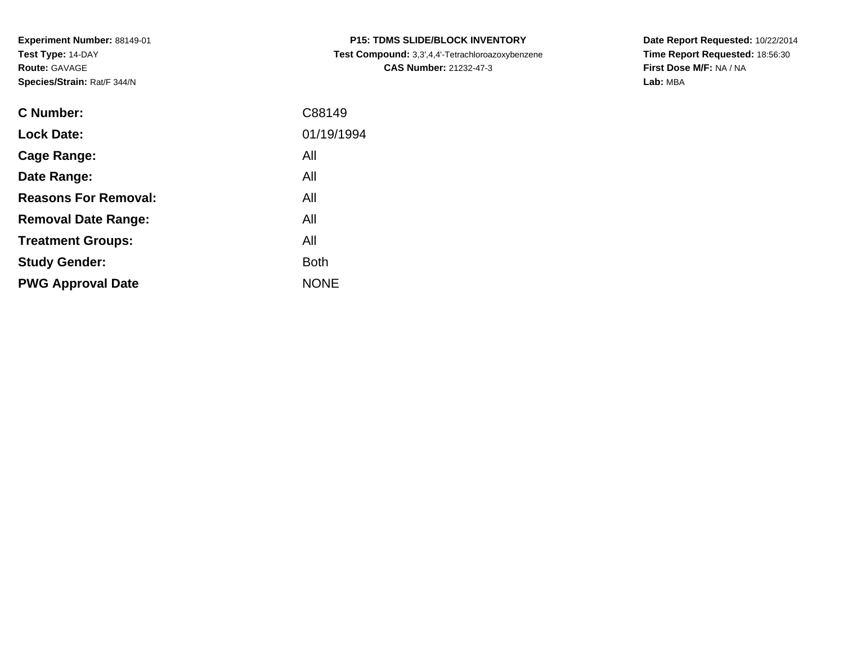**Experiment Number:** 88149-01**Test Type:** 14-DAY**Route:** GAVAGE**Species/Strain:** Rat/F 344/N

| <b>C Number:</b>            | C88149      |
|-----------------------------|-------------|
| <b>Lock Date:</b>           | 01/19/1994  |
| <b>Cage Range:</b>          | All         |
| Date Range:                 | All         |
| <b>Reasons For Removal:</b> | All         |
| <b>Removal Date Range:</b>  | All         |
| <b>Treatment Groups:</b>    | All         |
| <b>Study Gender:</b>        | <b>Both</b> |
| <b>PWG Approval Date</b>    | <b>NONE</b> |
|                             |             |

**P15: TDMS SLIDE/BLOCK INVENTORY Test Compound:** 3,3',4,4'-Tetrachloroazoxybenzene**CAS Number:** 21232-47-3

**Date Report Requested:** 10/22/2014 **Time Report Requested:** 18:56:30**First Dose M/F:** NA / NA**Lab:** MBA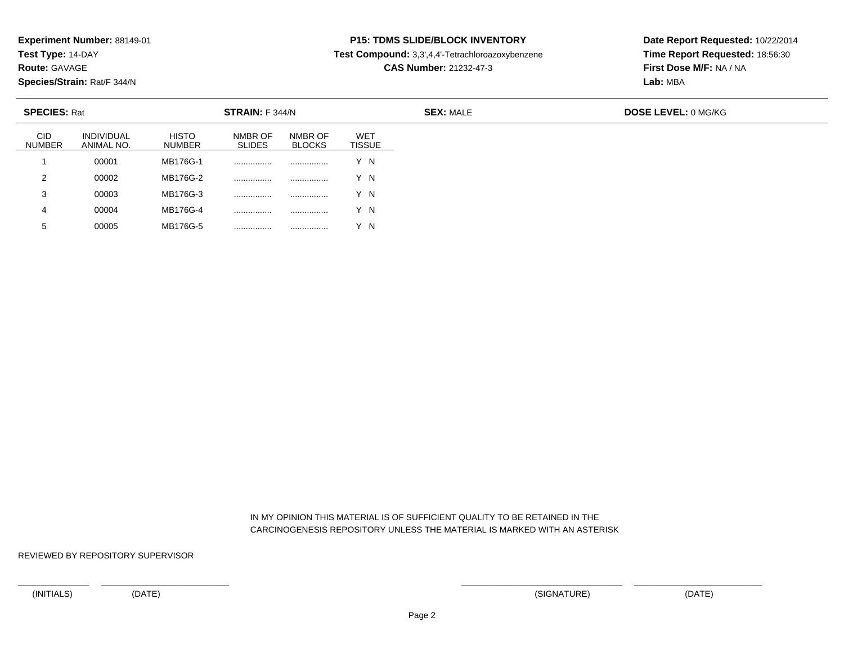**Test Type:** 14-DAY

**Route:** GAVAGE

5

**Species/Strain:** Rat/F 344/N

<sup>00005</sup> MB176G-5 ................ ................ Y N

## **P15: TDMS SLIDE/BLOCK INVENTORY**

**Test Compound:** 3,3',4,4'-Tetrachloroazoxybenzene

**CAS Number:** 21232-47-3

**Date Report Requested:** 10/22/2014**Time Report Requested:** 18:56:30**First Dose M/F:** NA / NA**Lab:** MBA

| <b>SPECIES: Rat</b><br>STRAIN: F 344/N |                                 |                        |                          |                          |                             |
|----------------------------------------|---------------------------------|------------------------|--------------------------|--------------------------|-----------------------------|
| CID<br><b>NUMBER</b>                   | <b>INDIVIDUAL</b><br>ANIMAL NO. | <b>HISTO</b><br>NUMBER | NMBR OF<br><b>SLIDES</b> | NMBR OF<br><b>BLOCKS</b> | <b>WET</b><br><b>TISSUE</b> |
|                                        | 00001                           | MB176G-1               |                          | .                        | ΄ Ν                         |
| $\overline{2}$                         | 00002                           | MB176G-2               |                          | .                        | ΄N                          |
| 3                                      | 00003                           | MB176G-3               |                          | .                        | Y N                         |
| 4                                      | 00004                           | MB176G-4               | .                        | .                        | 'N                          |

 IN MY OPINION THIS MATERIAL IS OF SUFFICIENT QUALITY TO BE RETAINED IN THECARCINOGENESIS REPOSITORY UNLESS THE MATERIAL IS MARKED WITH AN ASTERISK

REVIEWED BY REPOSITORY SUPERVISOR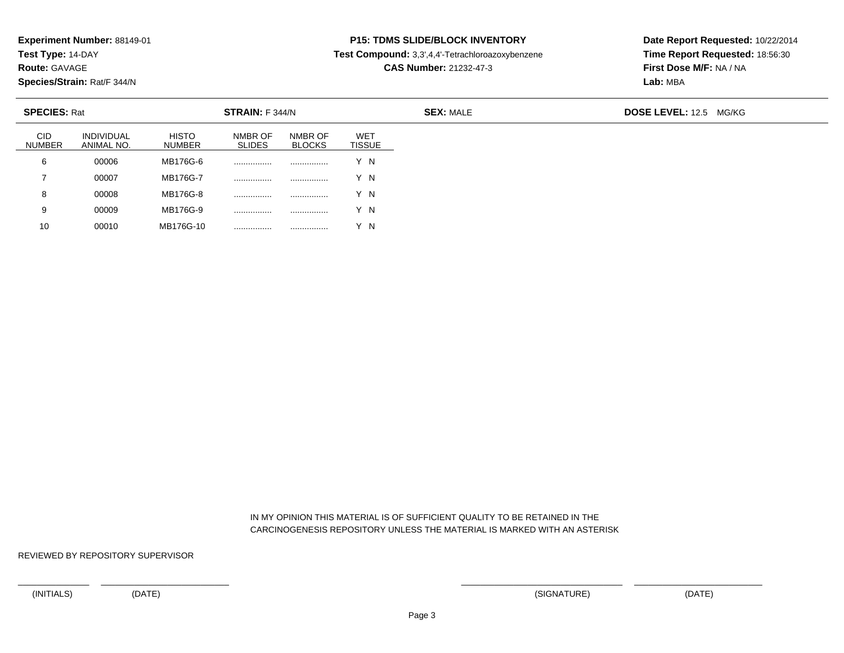**Test Type:** 14-DAY

**Route:** GAVAGE

10

**Species/Strain:** Rat/F 344/N

## **P15: TDMS SLIDE/BLOCK INVENTORY**

**Test Compound:** 3,3',4,4'-Tetrachloroazoxybenzene

**CAS Number:** 21232-47-3

**Date Report Requested:** 10/22/2014**Time Report Requested:** 18:56:30**First Dose M/F:** NA / NA**Lab:** MBA

| <b>SPECIES: Rat</b><br>STRAIN: F 344/N |                                 |                               |                          |                          |                      | <b>SEX: MALE</b> | <b>DOSE LEVEL: 12.5</b><br>MG/KG |
|----------------------------------------|---------------------------------|-------------------------------|--------------------------|--------------------------|----------------------|------------------|----------------------------------|
| <b>CID</b><br><b>NUMBER</b>            | <b>INDIVIDUAL</b><br>ANIMAL NO. | <b>HISTO</b><br><b>NUMBER</b> | NMBR OF<br><b>SLIDES</b> | NMBR OF<br><b>BLOCKS</b> | WET<br><b>TISSUE</b> |                  |                                  |
| 6                                      | 00006                           | MB176G-6                      |                          | .                        | Y N                  |                  |                                  |
| ⇁                                      | 00007                           | MB176G-7                      |                          |                          | Y N                  |                  |                                  |
| 8                                      | 00008                           | MB176G-8                      |                          |                          | Y N                  |                  |                                  |
| 9                                      | 00009                           | MB176G-9                      |                          | .                        | Y N                  |                  |                                  |

 IN MY OPINION THIS MATERIAL IS OF SUFFICIENT QUALITY TO BE RETAINED IN THECARCINOGENESIS REPOSITORY UNLESS THE MATERIAL IS MARKED WITH AN ASTERISK

REVIEWED BY REPOSITORY SUPERVISOR

<sup>00010</sup> MB176G-10 ................ ................ Y N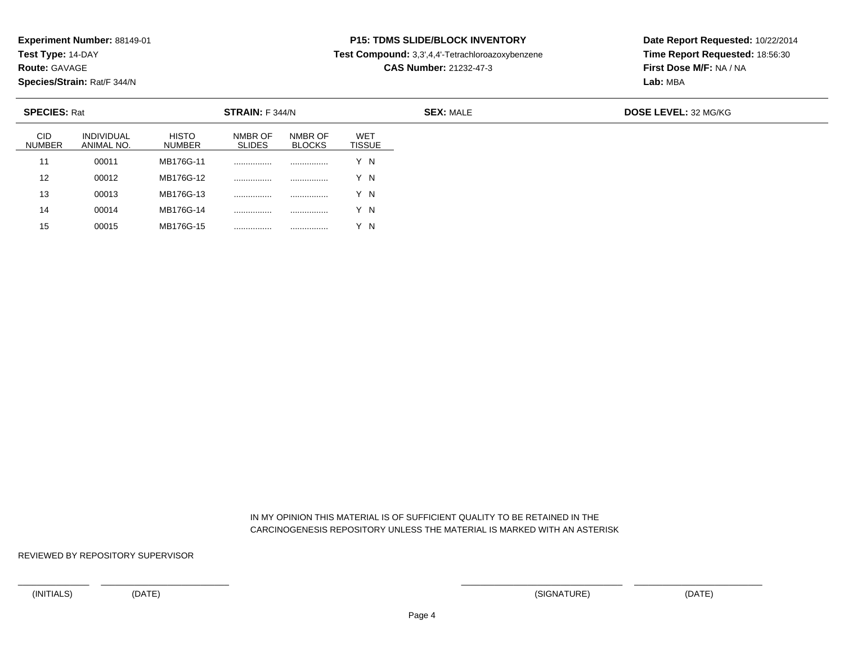**Test Type:** 14-DAY

**Route:** GAVAGE

15

**Species/Strain:** Rat/F 344/N

<sup>00015</sup> MB176G-15 ................ ................ Y N

# **P15: TDMS SLIDE/BLOCK INVENTORY**

**Test Compound:** 3,3',4,4'-Tetrachloroazoxybenzene

**CAS Number:** 21232-47-3

**Date Report Requested:** 10/22/2014**Time Report Requested:** 18:56:30**First Dose M/F:** NA / NA**Lab:** MBA

| <b>SPECIES: Rat</b><br>STRAIN: F 344/N |                          |                        |                          |                          |                             |
|----------------------------------------|--------------------------|------------------------|--------------------------|--------------------------|-----------------------------|
| <b>CID</b><br><b>NUMBER</b>            | INDIVIDUAL<br>ANIMAL NO. | <b>HISTO</b><br>NUMBER | NMBR OF<br><b>SLIDES</b> | NMBR OF<br><b>BLOCKS</b> | <b>WET</b><br><b>TISSUE</b> |
| 11                                     | 00011                    | MB176G-11              |                          | .                        | Y N                         |
| 12                                     | 00012                    | MB176G-12              |                          | .                        | Y N                         |
| 13                                     | 00013                    | MB176G-13              |                          | .                        | Y N                         |
| 14                                     | 00014                    | MB176G-14              | .                        |                          | Y N                         |

 IN MY OPINION THIS MATERIAL IS OF SUFFICIENT QUALITY TO BE RETAINED IN THECARCINOGENESIS REPOSITORY UNLESS THE MATERIAL IS MARKED WITH AN ASTERISK

REVIEWED BY REPOSITORY SUPERVISOR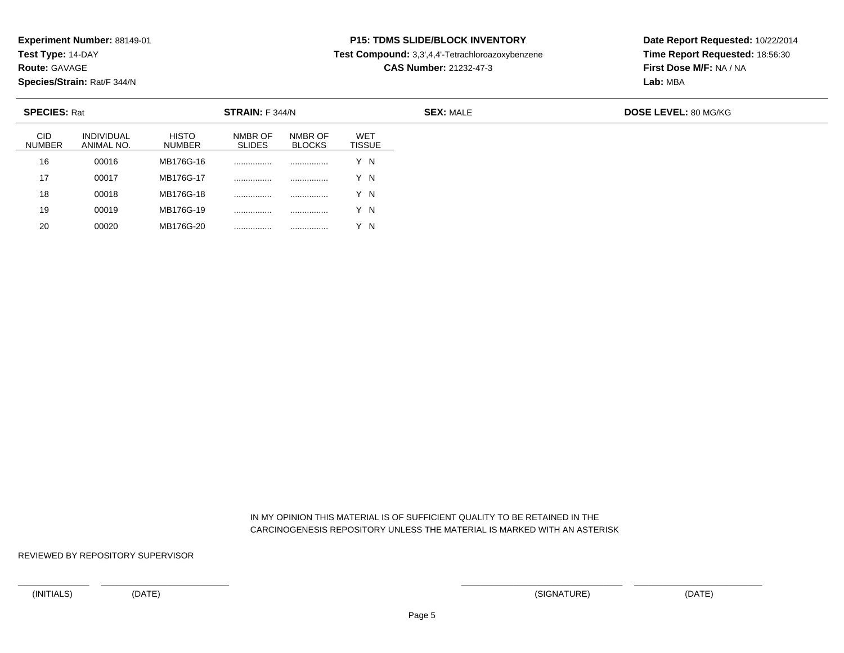**Test Type:** 14-DAY

**Route:** GAVAGE

20

**Species/Strain:** Rat/F 344/N

<sup>00020</sup> MB176G-20 ................ ................ Y N

# **P15: TDMS SLIDE/BLOCK INVENTORY**

**Test Compound:** 3,3',4,4'-Tetrachloroazoxybenzene

**CAS Number:** 21232-47-3

**Date Report Requested:** 10/22/2014**Time Report Requested:** 18:56:30**First Dose M/F:** NA / NA**Lab:** MBA

| <b>SPECIES: Rat</b><br>STRAIN: F 344/N |                          |                               |                          |                          |                             |
|----------------------------------------|--------------------------|-------------------------------|--------------------------|--------------------------|-----------------------------|
| <b>CID</b><br><b>NUMBER</b>            | INDIVIDUAL<br>ANIMAL NO. | <b>HISTO</b><br><b>NUMBER</b> | NMBR OF<br><b>SLIDES</b> | NMBR OF<br><b>BLOCKS</b> | <b>WET</b><br><b>TISSUE</b> |
| 16                                     | 00016                    | MB176G-16                     |                          | .                        | Y N                         |
| 17                                     | 00017                    | MB176G-17                     |                          | .                        | Y N                         |
| 18                                     | 00018                    | MB176G-18                     |                          | .                        | Y N                         |
| 19                                     | 00019                    | MB176G-19                     | .                        |                          | ΄Ν                          |

 IN MY OPINION THIS MATERIAL IS OF SUFFICIENT QUALITY TO BE RETAINED IN THECARCINOGENESIS REPOSITORY UNLESS THE MATERIAL IS MARKED WITH AN ASTERISK

REVIEWED BY REPOSITORY SUPERVISOR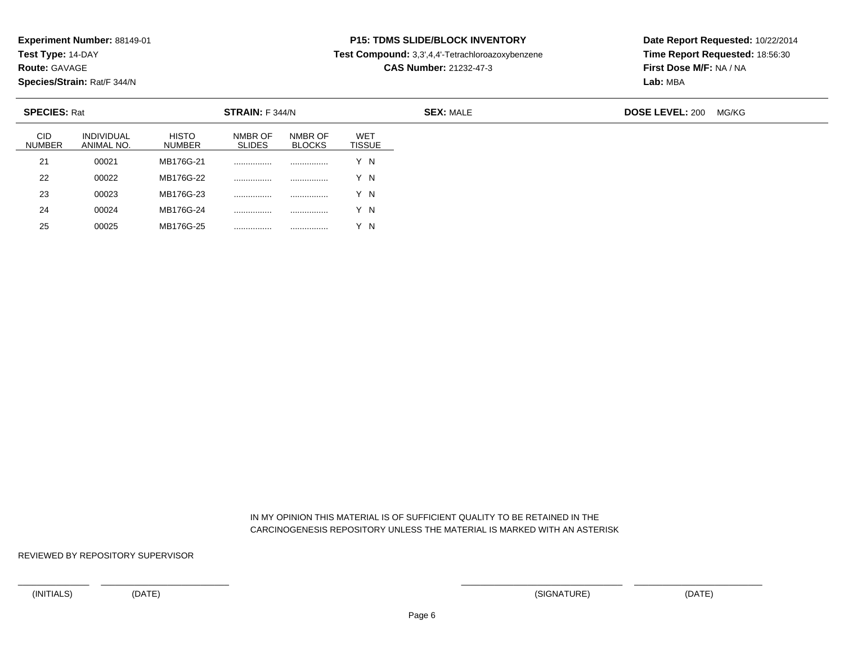**Test Type:** 14-DAY

**Route:** GAVAGE

25

**Species/Strain:** Rat/F 344/N

#### **P15: TDMS SLIDE/BLOCK INVENTORY**

**Test Compound:** 3,3',4,4'-Tetrachloroazoxybenzene

**CAS Number:** 21232-47-3

**Date Report Requested:** 10/22/2014**Time Report Requested:** 18:56:30**First Dose M/F:** NA / NA**Lab:** MBA

| <b>SPECIES: Rat</b><br>STRAIN: F 344/N |                                 |                               |                          |                          |                             | <b>SEX: MALE</b> | <b>DOSE LEVEL: 200</b> | MG/KG |
|----------------------------------------|---------------------------------|-------------------------------|--------------------------|--------------------------|-----------------------------|------------------|------------------------|-------|
| <b>CID</b><br><b>NUMBER</b>            | <b>INDIVIDUAL</b><br>ANIMAL NO. | <b>HISTO</b><br><b>NUMBER</b> | NMBR OF<br><b>SLIDES</b> | NMBR OF<br><b>BLOCKS</b> | <b>WET</b><br><b>TISSUE</b> |                  |                        |       |
| 21                                     | 00021                           | MB176G-21                     |                          |                          | Y N                         |                  |                        |       |
| 22                                     | 00022                           | MB176G-22                     |                          | .                        | Y N                         |                  |                        |       |
| 23                                     | 00023                           | MB176G-23                     |                          | .                        | Y N                         |                  |                        |       |
| 24                                     | 00024                           | MB176G-24                     | .                        | .                        | Y N                         |                  |                        |       |

 IN MY OPINION THIS MATERIAL IS OF SUFFICIENT QUALITY TO BE RETAINED IN THECARCINOGENESIS REPOSITORY UNLESS THE MATERIAL IS MARKED WITH AN ASTERISK

REVIEWED BY REPOSITORY SUPERVISOR

<sup>00025</sup> MB176G-25 ................ ................ Y N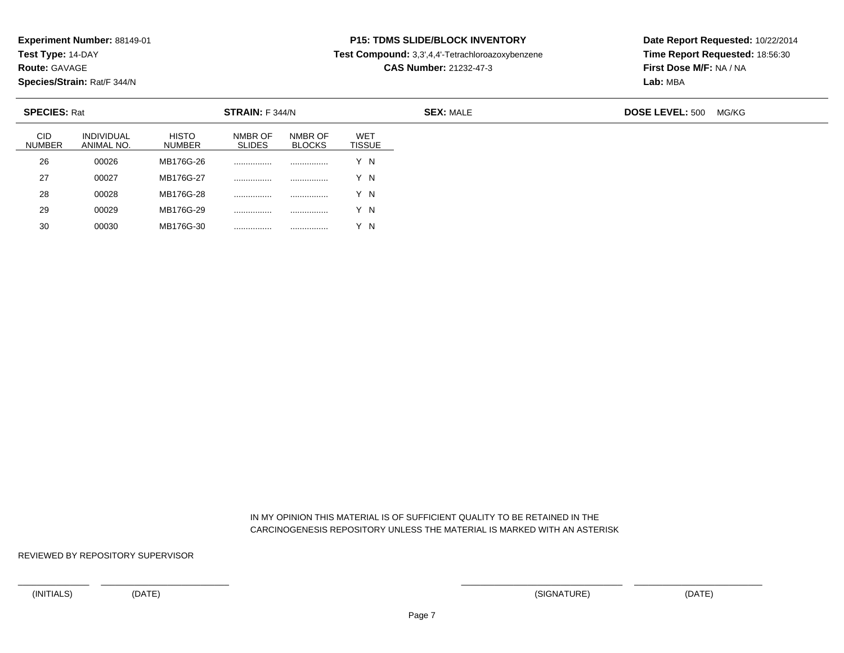**Test Type:** 14-DAY

**Route:** GAVAGE

30

**Species/Strain:** Rat/F 344/N

<sup>00030</sup> MB176G-30 ................ ................ Y N

## **P15: TDMS SLIDE/BLOCK INVENTORY**

**Test Compound:** 3,3',4,4'-Tetrachloroazoxybenzene

**CAS Number:** 21232-47-3

**Date Report Requested:** 10/22/2014**Time Report Requested:** 18:56:30**First Dose M/F:** NA / NA**Lab:** MBA

| <b>SPECIES: Rat</b><br>STRAIN: F 344/N |                                 |                               |                          |                          |                      | <b>SEX: MALE</b> | <b>DOSE LEVEL: 500</b> | MG/KG |
|----------------------------------------|---------------------------------|-------------------------------|--------------------------|--------------------------|----------------------|------------------|------------------------|-------|
| <b>CID</b><br><b>NUMBER</b>            | <b>INDIVIDUAL</b><br>ANIMAL NO. | <b>HISTO</b><br><b>NUMBER</b> | NMBR OF<br><b>SLIDES</b> | NMBR OF<br><b>BLOCKS</b> | WET<br><b>TISSUE</b> |                  |                        |       |
| 26                                     | 00026                           | MB176G-26                     |                          |                          | Y N                  |                  |                        |       |
| 27                                     | 00027                           | MB176G-27                     |                          |                          | Y N                  |                  |                        |       |
| 28                                     | 00028                           | MB176G-28                     |                          |                          | Y N                  |                  |                        |       |
| 29                                     | 00029                           | MB176G-29                     | .                        | .                        | Y N                  |                  |                        |       |

 IN MY OPINION THIS MATERIAL IS OF SUFFICIENT QUALITY TO BE RETAINED IN THECARCINOGENESIS REPOSITORY UNLESS THE MATERIAL IS MARKED WITH AN ASTERISK

REVIEWED BY REPOSITORY SUPERVISOR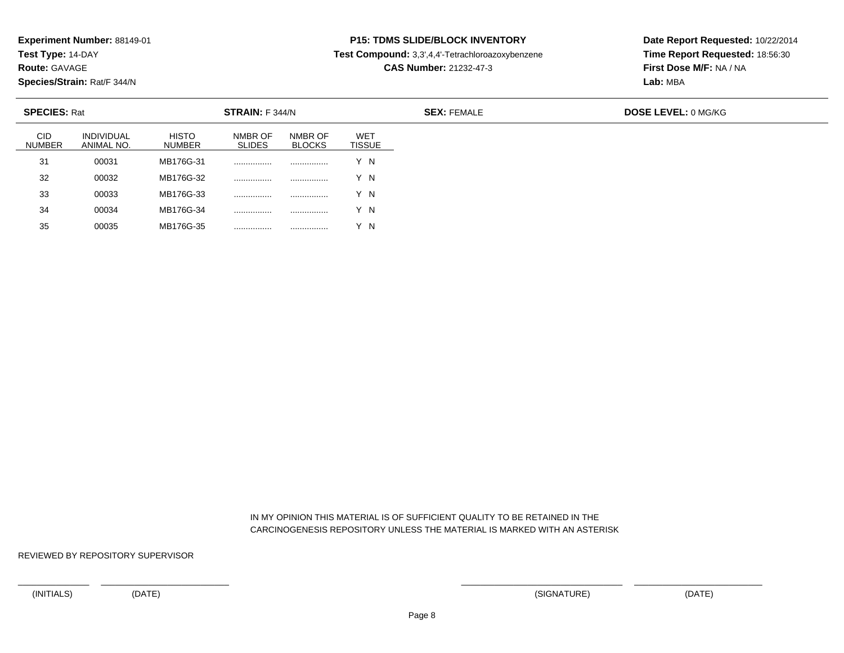**Test Type:** 14-DAY

**Route:** GAVAGE

35

**Species/Strain:** Rat/F 344/N

## **P15: TDMS SLIDE/BLOCK INVENTORY**

**Test Compound:** 3,3',4,4'-Tetrachloroazoxybenzene

**CAS Number:** 21232-47-3

**Date Report Requested:** 10/22/2014**Time Report Requested:** 18:56:30**First Dose M/F:** NA / NA**Lab:** MBA

| <b>SPECIES: Rat</b><br>STRAIN: F 344/N |                                 |                        |                          |                          |                             |
|----------------------------------------|---------------------------------|------------------------|--------------------------|--------------------------|-----------------------------|
| <b>CID</b><br><b>NUMBER</b>            | <b>INDIVIDUAL</b><br>ANIMAL NO. | <b>HISTO</b><br>NUMBER | NMBR OF<br><b>SLIDES</b> | NMBR OF<br><b>BLOCKS</b> | <b>WET</b><br><b>TISSUE</b> |
| 31                                     | 00031                           | MB176G-31              | .                        | .                        | Y N                         |
| 32                                     | 00032                           | MB176G-32              | .                        | .                        | Y N                         |
| 33                                     | 00033                           | MB176G-33              |                          | .                        | Y N                         |
| 34                                     | 00034                           | MB176G-34              |                          | .                        | ΄N                          |

 IN MY OPINION THIS MATERIAL IS OF SUFFICIENT QUALITY TO BE RETAINED IN THECARCINOGENESIS REPOSITORY UNLESS THE MATERIAL IS MARKED WITH AN ASTERISK

REVIEWED BY REPOSITORY SUPERVISOR

<sup>00035</sup> MB176G-35 ................ ................ Y N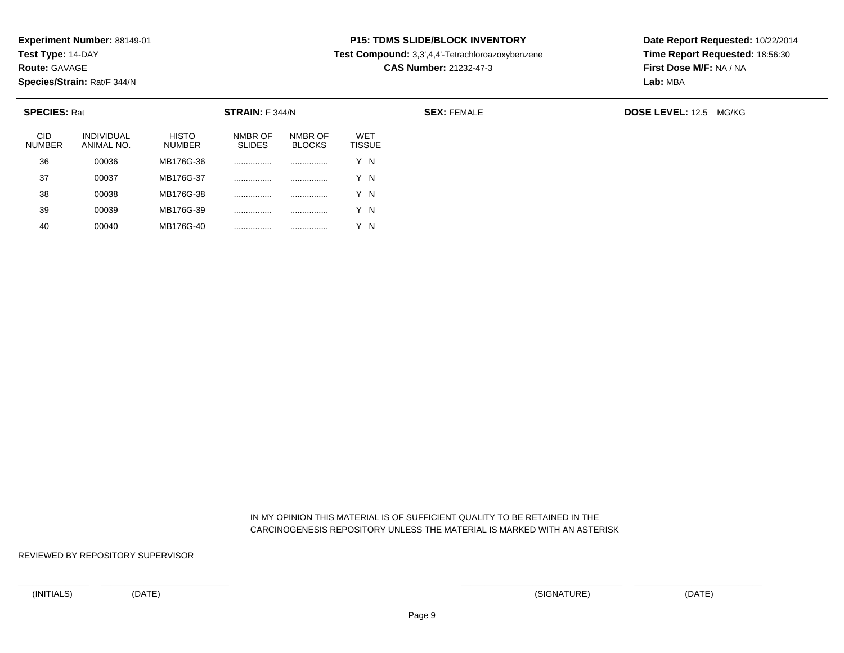**Test Type:** 14-DAY

**Route:** GAVAGE

40

**Species/Strain:** Rat/F 344/N

<sup>00040</sup> MB176G-40 ................ ................ Y N

## **P15: TDMS SLIDE/BLOCK INVENTORY**

**Test Compound:** 3,3',4,4'-Tetrachloroazoxybenzene

**CAS Number:** 21232-47-3

**Date Report Requested:** 10/22/2014**Time Report Requested:** 18:56:30**First Dose M/F:** NA / NA**Lab:** MBA

| <b>SPECIES: Rat</b><br>STRAIN: F 344/N |                                 |                               |                          |                          |                             | <b>SEX: FEMALE</b> | DOSE LEVEL: 12.5 MG/KG |
|----------------------------------------|---------------------------------|-------------------------------|--------------------------|--------------------------|-----------------------------|--------------------|------------------------|
| <b>CID</b><br><b>NUMBER</b>            | <b>INDIVIDUAL</b><br>ANIMAL NO. | <b>HISTO</b><br><b>NUMBER</b> | NMBR OF<br><b>SLIDES</b> | NMBR OF<br><b>BLOCKS</b> | <b>WET</b><br><b>TISSUE</b> |                    |                        |
| 36                                     | 00036                           | MB176G-36                     |                          |                          | Y N                         |                    |                        |
| 37                                     | 00037                           | MB176G-37                     |                          |                          | Y N                         |                    |                        |
| 38                                     | 00038                           | MB176G-38                     |                          | .                        | Y N                         |                    |                        |
| 39                                     | 00039                           | MB176G-39                     |                          |                          | Y N                         |                    |                        |

 IN MY OPINION THIS MATERIAL IS OF SUFFICIENT QUALITY TO BE RETAINED IN THECARCINOGENESIS REPOSITORY UNLESS THE MATERIAL IS MARKED WITH AN ASTERISK

REVIEWED BY REPOSITORY SUPERVISOR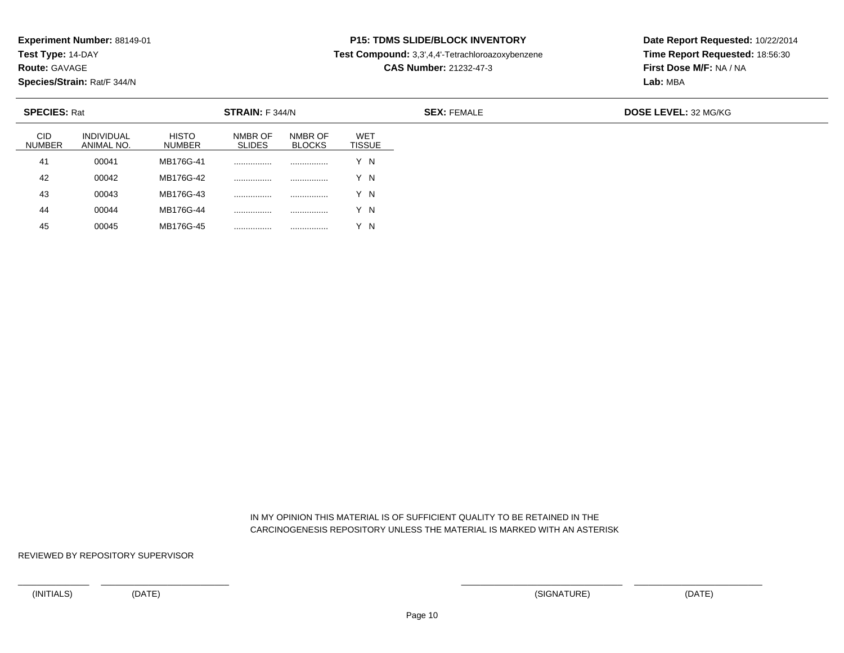**Test Type:** 14-DAY

**Route:** GAVAGE

45

**Species/Strain:** Rat/F 344/N

### **P15: TDMS SLIDE/BLOCK INVENTORY**

**Test Compound:** 3,3',4,4'-Tetrachloroazoxybenzene

**CAS Number:** 21232-47-3

**Date Report Requested:** 10/22/2014**Time Report Requested:** 18:56:30**First Dose M/F:** NA / NA**Lab:** MBA

| <b>SPECIES: Rat</b>         |                                 |                        | STRAIN: F 344/N          |                          | <b>SEX: FEMALE</b>          | <b>DOSE LEVEL: 32 MG/KG</b> |  |
|-----------------------------|---------------------------------|------------------------|--------------------------|--------------------------|-----------------------------|-----------------------------|--|
| <b>CID</b><br><b>NUMBER</b> | <b>INDIVIDUAL</b><br>ANIMAL NO. | <b>HISTO</b><br>NUMBER | NMBR OF<br><b>SLIDES</b> | NMBR OF<br><b>BLOCKS</b> | <b>WET</b><br><b>TISSUE</b> |                             |  |
| 41                          | 00041                           | MB176G-41              | .                        |                          | Y N                         |                             |  |
| 42                          | 00042                           | MB176G-42              |                          |                          | Y N                         |                             |  |
| 43                          | 00043                           | MB176G-43              | .                        | .                        | Y N                         |                             |  |
| 44                          | 00044                           | MB176G-44              |                          | .                        | Y N                         |                             |  |

 IN MY OPINION THIS MATERIAL IS OF SUFFICIENT QUALITY TO BE RETAINED IN THECARCINOGENESIS REPOSITORY UNLESS THE MATERIAL IS MARKED WITH AN ASTERISK

REVIEWED BY REPOSITORY SUPERVISOR

<sup>00045</sup> MB176G-45 ................ ................ Y N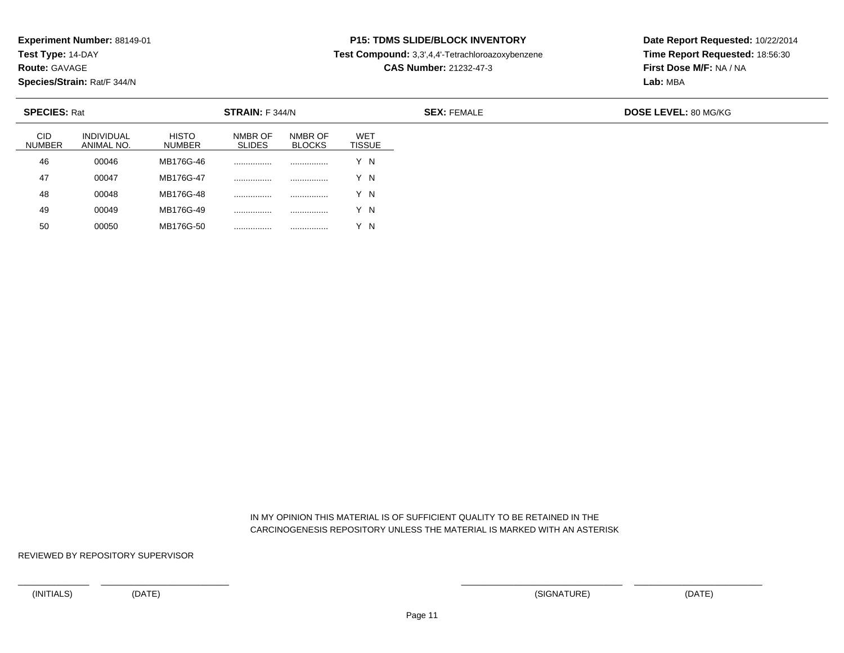**Test Type:** 14-DAY

**Route:** GAVAGE

50

**Species/Strain:** Rat/F 344/N

<sup>00050</sup> MB176G-50 ................ ................ Y N

## **P15: TDMS SLIDE/BLOCK INVENTORY**

**Test Compound:** 3,3',4,4'-Tetrachloroazoxybenzene

**CAS Number:** 21232-47-3

**Date Report Requested:** 10/22/2014**Time Report Requested:** 18:56:30**First Dose M/F:** NA / NA**Lab:** MBA

| <b>SPECIES: Rat</b><br>STRAIN: F 344/N |                                 |                        |                          |                          |                             |
|----------------------------------------|---------------------------------|------------------------|--------------------------|--------------------------|-----------------------------|
| <b>CID</b><br><b>NUMBER</b>            | <b>INDIVIDUAL</b><br>ANIMAL NO. | <b>HISTO</b><br>NUMBER | NMBR OF<br><b>SLIDES</b> | NMBR OF<br><b>BLOCKS</b> | <b>WET</b><br><b>TISSUE</b> |
| 46                                     | 00046                           | MB176G-46              |                          |                          | Y N                         |
| 47                                     | 00047                           | MB176G-47              |                          |                          | Y N                         |
| 48                                     | 00048                           | MB176G-48              |                          | .                        | Y N                         |
| 49                                     | 00049                           | MB176G-49              |                          | .                        | ΄N                          |

 IN MY OPINION THIS MATERIAL IS OF SUFFICIENT QUALITY TO BE RETAINED IN THECARCINOGENESIS REPOSITORY UNLESS THE MATERIAL IS MARKED WITH AN ASTERISK

REVIEWED BY REPOSITORY SUPERVISOR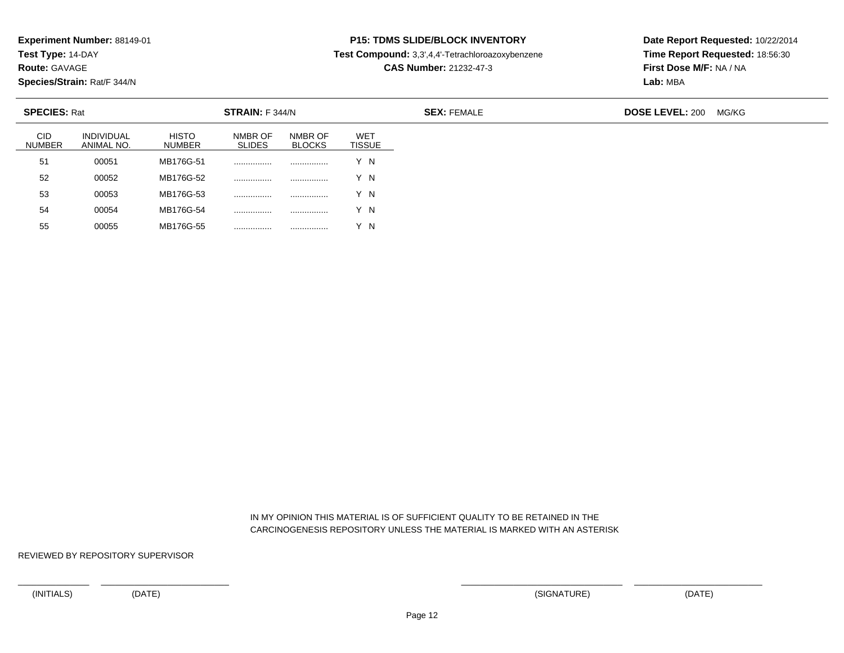**Test Type:** 14-DAY

**Route:** GAVAGE

55

**Species/Strain:** Rat/F 344/N

<sup>00055</sup> MB176G-55 ................ ................ Y N

### **P15: TDMS SLIDE/BLOCK INVENTORY**

**Test Compound:** 3,3',4,4'-Tetrachloroazoxybenzene

**CAS Number:** 21232-47-3

**Date Report Requested:** 10/22/2014**Time Report Requested:** 18:56:30**First Dose M/F:** NA / NA**Lab:** MBA

| <b>SPECIES: Rat</b><br>STRAIN: F 344/N |                                 |                        |                          |                          |                             | <b>SEX: FEMALE</b> | <b>DOSE LEVEL: 200</b> | MG/KG |
|----------------------------------------|---------------------------------|------------------------|--------------------------|--------------------------|-----------------------------|--------------------|------------------------|-------|
| <b>CID</b><br><b>NUMBER</b>            | <b>INDIVIDUAL</b><br>ANIMAL NO. | <b>HISTO</b><br>NUMBER | NMBR OF<br><b>SLIDES</b> | NMBR OF<br><b>BLOCKS</b> | <b>WET</b><br><b>TISSUE</b> |                    |                        |       |
| 51                                     | 00051                           | MB176G-51              |                          |                          | Y N                         |                    |                        |       |
| 52                                     | 00052                           | MB176G-52              |                          |                          | Y N                         |                    |                        |       |
| 53                                     | 00053                           | MB176G-53              |                          | .                        | Y N                         |                    |                        |       |
| 54                                     | 00054                           | MB176G-54              |                          |                          | Y N                         |                    |                        |       |

 IN MY OPINION THIS MATERIAL IS OF SUFFICIENT QUALITY TO BE RETAINED IN THECARCINOGENESIS REPOSITORY UNLESS THE MATERIAL IS MARKED WITH AN ASTERISK

REVIEWED BY REPOSITORY SUPERVISOR